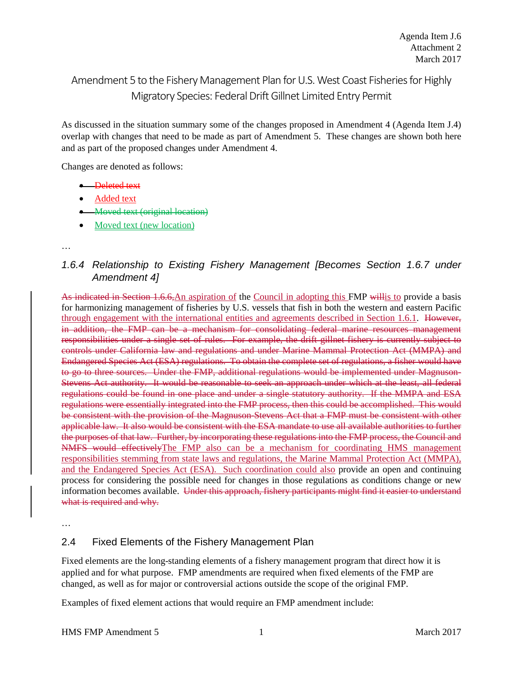# Amendment 5 to the Fishery Management Plan for U.S. West Coast Fisheries for Highly Migratory Species: Federal Drift Gillnet Limited Entry Permit

As discussed in the situation summary some of the changes proposed in Amendment 4 (Agenda Item J.4) overlap with changes that need to be made as part of Amendment 5. These changes are shown both here and as part of the proposed changes under Amendment 4.

Changes are denoted as follows:

- Deleted text
- Added text
- Moved text (original location)
- Moved text (new location)

# *1.6.4 Relationship to Existing Fishery Management [Becomes Section 1.6.7 under Amendment 4]*

As indicated in Section 1.6.6,An aspiration of the Council in adopting this FMP willis to provide a basis for harmonizing management of fisheries by U.S. vessels that fish in both the western and eastern Pacific through engagement with the international entities and agreements described in Section 1.6.1. However, in addition, the FMP can be a mechanism for consolidating federal marine resources management responsibilities under a single set of rules. For example, the drift gillnet fishery is currently subject to controls under California law and regulations and under Marine Mammal Protection Act (MMPA) and Endangered Species Act (ESA) regulations. To obtain the complete set of regulations, a fisher would have to go to three sources. Under the FMP, additional regulations would be implemented under Magnuson-Stevens Act authority. It would be reasonable to seek an approach under which at the least, all federal regulations could be found in one place and under a single statutory authority. If the MMPA and ESA regulations were essentially integrated into the FMP process, then this could be accomplished. This would be consistent with the provision of the Magnuson-Stevens Act that a FMP must be consistent with other applicable law. It also would be consistent with the ESA mandate to use all available authorities to further the purposes of that law. Further, by incorporating these regulations into the FMP process, the Council and NMFS would effectivelyThe FMP also can be a mechanism for coordinating HMS management responsibilities stemming from state laws and regulations, the Marine Mammal Protection Act (MMPA), and the Endangered Species Act (ESA). Such coordination could also provide an open and continuing process for considering the possible need for changes in those regulations as conditions change or new information becomes available. Under this approach, fishery participants might find it easier to understand what is required and why.

…

# 2.4 Fixed Elements of the Fishery Management Plan

Fixed elements are the long-standing elements of a fishery management program that direct how it is applied and for what purpose. FMP amendments are required when fixed elements of the FMP are changed, as well as for major or controversial actions outside the scope of the original FMP.

Examples of fixed element actions that would require an FMP amendment include:

<sup>…</sup>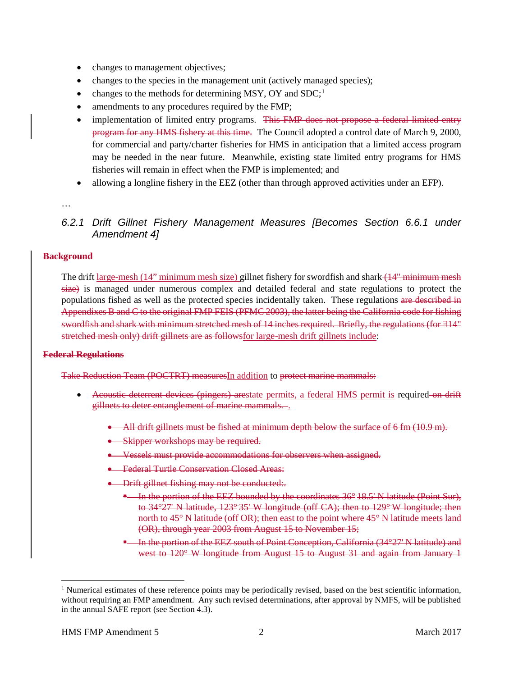- changes to management objectives;
- changes to the species in the management unit (actively managed species);
- changes to the methods for determining MSY, OY and SDC;<sup>[1](#page-1-0)</sup>
- amendments to any procedures required by the FMP;
- implementation of limited entry programs. This FMP does not propose a federal limited entry program for any HMS fishery at this time. The Council adopted a control date of March 9, 2000, for commercial and party/charter fisheries for HMS in anticipation that a limited access program may be needed in the near future. Meanwhile, existing state limited entry programs for HMS fisheries will remain in effect when the FMP is implemented; and
- allowing a longline fishery in the EEZ (other than through approved activities under an EFP).

…

## *6.2.1 Drift Gillnet Fishery Management Measures [Becomes Section 6.6.1 under Amendment 4]*

#### **Background**

The drift large-mesh (14" minimum mesh size) gillnet fishery for swordfish and shark (14" minimum mesh size) is managed under numerous complex and detailed federal and state regulations to protect the populations fished as well as the protected species incidentally taken. These regulations are described in Appendixes B and C to the original FMP FEIS (PFMC 2003), the latter being the California code for fishing swordfish and shark with minimum stretched mesh of 14 inches required. Briefly, the regulations (for ∃14" stretched mesh only) drift gillnets are as followsfor large-mesh drift gillnets include:

#### **Federal Regulations**

Take Reduction Team (POCTRT) measuresIn addition to protect marine mammals:

- Acoustic deterrent devices (pingers) are state permits, a federal HMS permit is required on drift gillnets to deter entanglement of marine mammals. .
	- All drift gillnets must be fished at minimum depth below the surface of 6 fm (10.9 m).
	- Skipper workshops may be required.
	- Vessels must provide accommodations for observers when assigned.
	- Federal Turtle Conservation Closed Areas:
	- Drift gillnet fishing may not be conducted:.
		- **E** In the portion of the EEZ bounded by the coordinates 36° 18.5' N latitude (Point Sur), to 34°27' N latitude, 123° 35' W longitude (off CA); then to 129° W longitude; then north to  $45^{\circ}$  N latitude (off OR); then east to the point where  $45^{\circ}$  N latitude meets land (OR), through year 2003 from August 15 to November 15;
		- <sup>•</sup> In the portion of the EEZ south of Point Conception, California (34°27' N latitude) and west to 120° W longitude from August 15 to August 31 and again from January 1

<span id="page-1-0"></span><sup>&</sup>lt;sup>1</sup> Numerical estimates of these reference points may be periodically revised, based on the best scientific information, without requiring an FMP amendment. Any such revised determinations, after approval by NMFS, will be published in the annual SAFE report (see Section 4.3).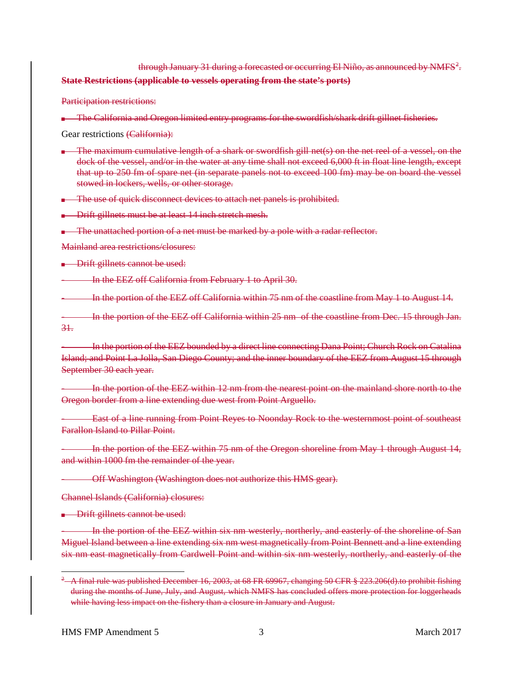### through January 31 during a forecasted or occurring El Niño, as announced by NMFS $^2$  $^2$ . **State Restrictions (applicable to vessels operating from the state's ports)**

Participation restrictions:

**.** The California and Oregon limited entry programs for the swordfish/shark drift gillnet fisheries.

Gear restrictions (California):

- The maximum cumulative length of a shark or swordfish gill net(s) on the net reel of a vessel, on the dock of the vessel, and/or in the water at any time shall not exceed 6,000 ft in float line length, except that up to 250 fm of spare net (in separate panels not to exceed 100 fm) may be on board the vessel stowed in lockers, wells, or other storage.
- **The use of quick disconnect devices to attach net panels is prohibited.**
- **Drift gillnets must be at least 14 inch stretch mesh.**
- **The unattached portion of a net must be marked by a pole with a radar reflector.**

Mainland area restrictions/closures:

**Drift gillnets cannot be used:** 

- In the EEZ off California from February 1 to April 30.

- In the portion of the EEZ off California within 75 nm of the coastline from May 1 to August 14.

In the portion of the EEZ off California within 25 nm of the coastline from Dec. 15 through Jan. 31.

In the portion of the EEZ bounded by a direct line connecting Dana Point; Church Rock on Catalina Island; and Point La Jolla, San Diego County; and the inner boundary of the EEZ from August 15 through September 30 each year.

In the portion of the EEZ within 12 nm from the nearest point on the mainland shore north to the Oregon border from a line extending due west from Point Arguello.

- East of a line running from Point Reyes to Noonday Rock to the westernmost point of southeast Farallon Island to Pillar Point.

In the portion of the EEZ within 75 nm of the Oregon shoreline from May 1 through August 14, and within 1000 fm the remainder of the year.

- Off Washington (Washington does not authorize this HMS gear).

Channel Islands (California) closures:

**•** Drift gillnets cannot be used:

- In the portion of the EEZ within six nm westerly, northerly, and easterly of the shoreline of San Miguel Island between a line extending six nm west magnetically from Point Bennett and a line extending six nm east magnetically from Cardwell Point and within six nm westerly, northerly, and easterly of the

<span id="page-2-0"></span> $2 - A$  final rule was published December 16, 2003, at 68 FR 69967, changing 50 CFR  $\S$  223.206(d).to prohibit fishing during the months of June, July, and August, which NMFS has concluded offers more protection for loggerheads while having less impact on the fishery than a closure in January and August.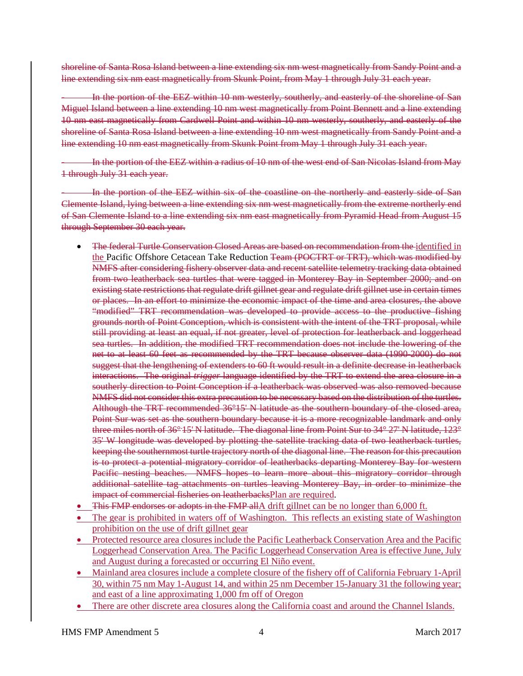shoreline of Santa Rosa Island between a line extending six nm west magnetically from Sandy Point and a line extending six nm east magnetically from Skunk Point, from May 1 through July 31 each year.

In the portion of the EEZ within 10 nm westerly, southerly, and easterly of the shoreline of San Miguel Island between a line extending 10 nm west magnetically from Point Bennett and a line extending 10 nm east magnetically from Cardwell Point and within 10 nm westerly, southerly, and easterly of the shoreline of Santa Rosa Island between a line extending 10 nm west magnetically from Sandy Point and a line extending 10 nm east magnetically from Skunk Point from May 1 through July 31 each year.

- In the portion of the EEZ within a radius of 10 nm of the west end of San Nicolas Island from May 1 through July 31 each year.

In the portion of the EEZ within six of the coastline on the northerly and easterly side of San Clemente Island, lying between a line extending six nm west magnetically from the extreme northerly end of San Clemente Island to a line extending six nm east magnetically from Pyramid Head from August 15 through September 30 each year.

- The federal Turtle Conservation Closed Areas are based on recommendation from the identified in the Pacific Offshore Cetacean Take Reduction Team (POCTRT or TRT), which was modified by NMFS after considering fishery observer data and recent satellite telemetry tracking data obtained from two leatherback sea turtles that were tagged in Monterey Bay in September 2000; and on existing state restrictions that regulate drift gillnet gear and regulate drift gillnet use in certain times or places. In an effort to minimize the economic impact of the time and area closures, the above "modified" TRT recommendation was developed to provide access to the productive fishing grounds north of Point Conception, which is consistent with the intent of the TRT proposal, while still providing at least an equal, if not greater, level of protection for leatherback and loggerhead sea turtles. In addition, the modified TRT recommendation does not include the lowering of the net to at least 60 feet as recommended by the TRT because observer data (1990-2000) do not suggest that the lengthening of extenders to 60 ft would result in a definite decrease in leatherback interactions. The original *trigger* language identified by the TRT to extend the area closure in a southerly direction to Point Conception if a leatherback was observed was also removed because NMFS did not consider this extra precaution to be necessary based on the distribution of the turtles. Although the TRT recommended 36°15' N latitude as the southern boundary of the closed area, Point Sur was set as the southern boundary because it is a more recognizable landmark and only three miles north of 36° 15' N latitude. The diagonal line from Point Sur to 34° 27' N latitude, 123° 35' W longitude was developed by plotting the satellite tracking data of two leatherback turtles, keeping the southernmost turtle trajectory north of the diagonal line. The reason for this precaution is to protect a potential migratory corridor of leatherbacks departing Monterey Bay for western Pacific nesting beaches. NMFS hopes to learn more about this migratory corridor through additional satellite tag attachments on turtles leaving Monterey Bay, in order to minimize the impact of commercial fisheries on leatherbacksPlan are required.
- This FMP endorses or adopts in the FMP allA drift gillnet can be no longer than 6,000 ft.
- The gear is prohibited in waters off of Washington. This reflects an existing state of Washington prohibition on the use of drift gillnet gear
- Protected resource area closures include the Pacific Leatherback Conservation Area and the Pacific Loggerhead Conservation Area. The Pacific Loggerhead Conservation Area is effective June, July and August during a forecasted or occurring El Niño event.
- Mainland area closures include a complete closure of the fishery off of California February 1-April 30, within 75 nm May 1-August 14, and within 25 nm December 15-January 31 the following year; and east of a line approximating 1,000 fm off of Oregon
- There are other discrete area closures along the California coast and around the Channel Islands.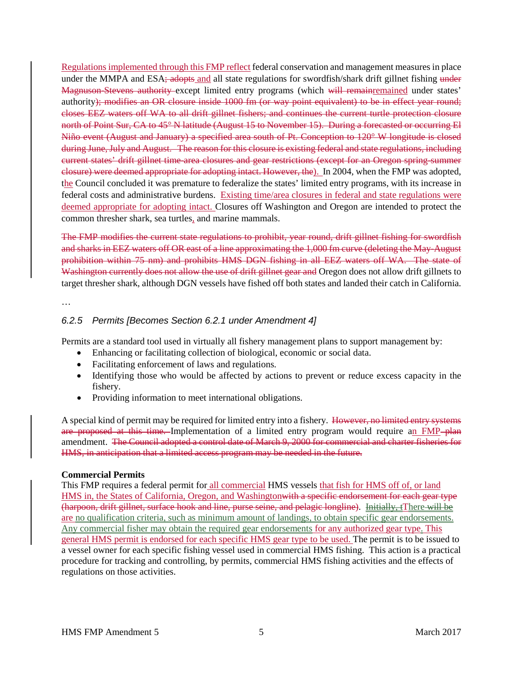Regulations implemented through this FMP reflect federal conservation and management measures in place under the MMPA and ESA; adopts and all state regulations for swordfish/shark drift gillnet fishing under Magnuson-Stevens authority except limited entry programs (which will remainremained under states' authority); modifies an OR closure inside 1000 fm (or way point equivalent) to be in effect year round; closes EEZ waters off WA to all drift gillnet fishers; and continues the current turtle protection closure north of Point Sur, CA to 45° N latitude (August 15 to November 15). During a forecasted or occurring El Niño event (August and January) a specified area south of Pt. Conception to 120° W longitude is closed during June, July and August. The reason for this closure is existing federal and state regulations, including current states' drift gillnet time-area closures and gear restrictions (except for an Oregon spring-summer closure) were deemed appropriate for adopting intact. However, the). In 2004, when the FMP was adopted, the Council concluded it was premature to federalize the states' limited entry programs, with its increase in federal costs and administrative burdens. Existing time/area closures in federal and state regulations were deemed appropriate for adopting intact. Closures off Washington and Oregon are intended to protect the common thresher shark, sea turtles, and marine mammals.

The FMP modifies the current state regulations to prohibit, year round, drift gillnet fishing for swordfish and sharks in EEZ waters off OR east of a line approximating the 1,000 fm curve (deleting the May-August prohibition within 75 nm) and prohibits HMS DGN fishing in all EEZ waters off WA. The state of Washington currently does not allow the use of drift gillnet gear and Oregon does not allow drift gillnets to target thresher shark, although DGN vessels have fished off both states and landed their catch in California.

…

### *6.2.5 Permits [Becomes Section 6.2.1 under Amendment 4]*

Permits are a standard tool used in virtually all fishery management plans to support management by:

- Enhancing or facilitating collection of biological, economic or social data.
- Facilitating enforcement of laws and regulations.
- Identifying those who would be affected by actions to prevent or reduce excess capacity in the fishery.
- Providing information to meet international obligations.

A special kind of permit may be required for limited entry into a fishery. However, no limited entry systems are proposed at this time. Implementation of a limited entry program would require an FMP-plan amendment. The Council adopted a control date of March 9, 2000 for commercial and charter fisheries for HMS, in anticipation that a limited access program may be needed in the future.

#### **Commercial Permits**

This FMP requires a federal permit for all commercial HMS vessels that fish for HMS off of, or land HMS in, the States of California, Oregon, and Washingtonwith a specific endorsement for each gear type (harpoon, drift gillnet, surface hook and line, purse seine, and pelagic longline). Initially, tThere will be are no qualification criteria, such as minimum amount of landings, to obtain specific gear endorsements. Any commercial fisher may obtain the required gear endorsements for any authorized gear type. This general HMS permit is endorsed for each specific HMS gear type to be used. The permit is to be issued to a vessel owner for each specific fishing vessel used in commercial HMS fishing. This action is a practical procedure for tracking and controlling, by permits, commercial HMS fishing activities and the effects of regulations on those activities.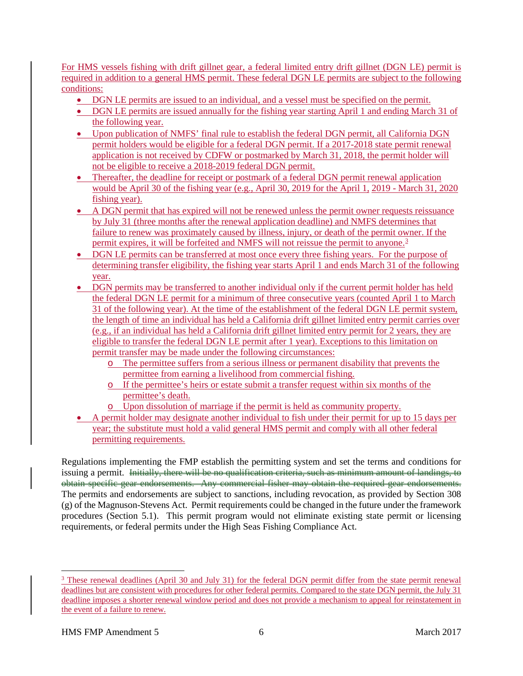For HMS vessels fishing with drift gillnet gear, a federal limited entry drift gillnet (DGN LE) permit is required in addition to a general HMS permit. These federal DGN LE permits are subject to the following conditions:

- DGN LE permits are issued to an individual, and a vessel must be specified on the permit.
- DGN LE permits are issued annually for the fishing year starting April 1 and ending March 31 of the following year.
- Upon publication of NMFS' final rule to establish the federal DGN permit, all California DGN permit holders would be eligible for a federal DGN permit. If a 2017-2018 state permit renewal application is not received by CDFW or postmarked by March 31, 2018, the permit holder will not be eligible to receive a 2018-2019 federal DGN permit.
- Thereafter, the deadline for receipt or postmark of a federal DGN permit renewal application would be April 30 of the fishing year (e.g., April 30, 2019 for the April 1, 2019 - March 31, 2020 fishing year).
- A DGN permit that has expired will not be renewed unless the permit owner requests reissuance by July 31 (three months after the renewal application deadline) and NMFS determines that failure to renew was proximately caused by illness, injury, or death of the permit owner. If the permit expires, it will be forfeited and NMFS will not reissue the permit to anyone.<sup>[3](#page-5-0)</sup>
- DGN LE permits can be transferred at most once every three fishing years. For the purpose of determining transfer eligibility, the fishing year starts April 1 and ends March 31 of the following year.
- DGN permits may be transferred to another individual only if the current permit holder has held the federal DGN LE permit for a minimum of three consecutive years (counted April 1 to March 31 of the following year). At the time of the establishment of the federal DGN LE permit system, the length of time an individual has held a California drift gillnet limited entry permit carries over (e.g., if an individual has held a California drift gillnet limited entry permit for 2 years, they are eligible to transfer the federal DGN LE permit after 1 year). Exceptions to this limitation on permit transfer may be made under the following circumstances:
	- o The permittee suffers from a serious illness or permanent disability that prevents the permittee from earning a livelihood from commercial fishing.
	- o If the permittee's heirs or estate submit a transfer request within six months of the permittee's death.
	- o Upon dissolution of marriage if the permit is held as community property.
- A permit holder may designate another individual to fish under their permit for up to 15 days per year; the substitute must hold a valid general HMS permit and comply with all other federal permitting requirements.

Regulations implementing the FMP establish the permitting system and set the terms and conditions for issuing a permit. Initially, there will be no qualification criteria, such as minimum amount of landings, to obtain specific gear endorsements. Any commercial fisher may obtain the required gear endorsements. The permits and endorsements are subject to sanctions, including revocation, as provided by Section 308 (g) of the Magnuson-Stevens Act. Permit requirements could be changed in the future under the framework procedures (Section 5.1). This permit program would not eliminate existing state permit or licensing requirements, or federal permits under the High Seas Fishing Compliance Act.

<span id="page-5-0"></span><sup>&</sup>lt;sup>3</sup> These renewal deadlines (April 30 and July 31) for the federal DGN permit differ from the state permit renewal deadlines but are consistent with procedures for other federal permits. Compared to the state DGN permit, the July 31 deadline imposes a shorter renewal window period and does not provide a mechanism to appeal for reinstatement in the event of a failure to renew.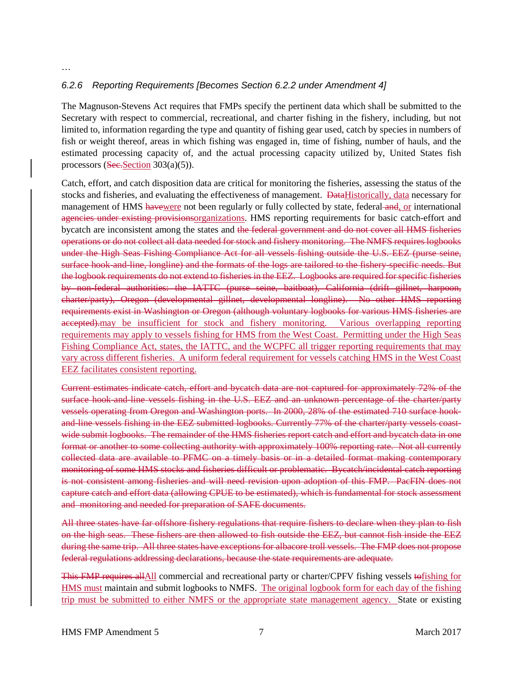### *6.2.6 Reporting Requirements [Becomes Section 6.2.2 under Amendment 4]*

The Magnuson-Stevens Act requires that FMPs specify the pertinent data which shall be submitted to the Secretary with respect to commercial, recreational, and charter fishing in the fishery, including, but not limited to, information regarding the type and quantity of fishing gear used, catch by species in numbers of fish or weight thereof, areas in which fishing was engaged in, time of fishing, number of hauls, and the estimated processing capacity of, and the actual processing capacity utilized by, United States fish processors (See.Section  $303(a)(5)$ ).

Catch, effort, and catch disposition data are critical for monitoring the fisheries, assessing the status of the stocks and fisheries, and evaluating the effectiveness of management. DataHistorically, data necessary for management of HMS havewere not been regularly or fully collected by state, federal and, or international agencies under existing provisionsorganizations. HMS reporting requirements for basic catch-effort and bycatch are inconsistent among the states and the federal government and do not cover all HMS fisheries operations or do not collect all data needed for stock and fishery monitoring. The NMFS requires logbooks under the High Seas Fishing Compliance Act for all vessels fishing outside the U.S. EEZ (purse seine, surface hook-and-line, longline) and the formats of the logs are tailored to the fishery-specific needs. But the logbook requirements do not extend to fisheries in the EEZ. Logbooks are required for specific fisheries by non-federal authorities: the IATTC (purse seine, baitboat), California (drift gillnet, harpoon, charter/party), Oregon (developmental gillnet, developmental longline). No other HMS reporting requirements exist in Washington or Oregon (although voluntary logbooks for various HMS fisheries are accepted).may be insufficient for stock and fishery monitoring. Various overlapping reporting requirements may apply to vessels fishing for HMS from the West Coast. Permitting under the High Seas Fishing Compliance Act, states, the IATTC, and the WCPFC all trigger reporting requirements that may vary across different fisheries. A uniform federal requirement for vessels catching HMS in the West Coast EEZ facilitates consistent reporting.

Current estimates indicate catch, effort and bycatch data are not captured for approximately 72% of the surface hook-and-line vessels fishing in the U.S. EEZ and an unknown percentage of the charter/party vessels operating from Oregon and Washington ports. In 2000, 28% of the estimated 710 surface hookand-line vessels fishing in the EEZ submitted logbooks. Currently 77% of the charter/party vessels coastwide submit logbooks. The remainder of the HMS fisheries report catch and effort and bycatch data in one format or another to some collecting authority with approximately 100% reporting rate. Not all currently collected data are available to PFMC on a timely basis or in a detailed format making contemporary monitoring of some HMS stocks and fisheries difficult or problematic. Bycatch/incidental catch reporting is not consistent among fisheries and will need revision upon adoption of this FMP. PacFIN does not capture catch and effort data (allowing CPUE to be estimated), which is fundamental for stock assessment and monitoring and needed for preparation of SAFE documents.

All three states have far offshore fishery regulations that require fishers to declare when they plan to fish on the high seas. These fishers are then allowed to fish outside the EEZ, but cannot fish inside the EEZ during the same trip. All three states have exceptions for albacore troll vessels. The FMP does not propose federal regulations addressing declarations, because the state requirements are adequate.

This FMP requires allAll commercial and recreational party or charter/CPFV fishing vessels tofishing for HMS must maintain and submit logbooks to NMFS. The original logbook form for each day of the fishing trip must be submitted to either NMFS or the appropriate state management agency. State or existing

…